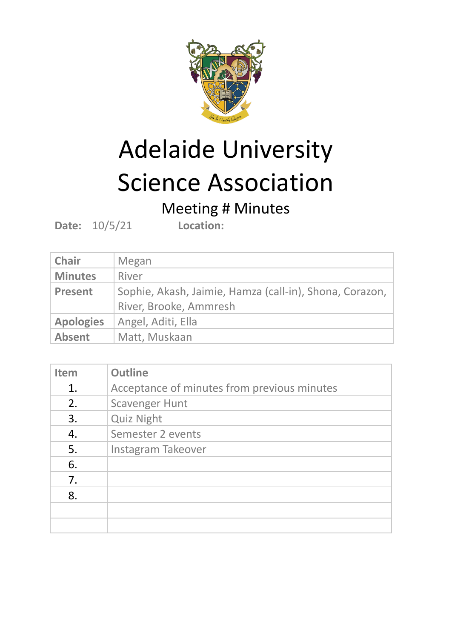

## Adelaide University Science Association

## Meeting # Minutes

**Date:** 10/5/21 **Location:**

| <b>Chair</b>     | Megan                                                                             |
|------------------|-----------------------------------------------------------------------------------|
| <b>Minutes</b>   | River                                                                             |
| <b>Present</b>   | Sophie, Akash, Jaimie, Hamza (call-in), Shona, Corazon,<br>River, Brooke, Ammresh |
| <b>Apologies</b> | Angel, Aditi, Ella                                                                |
| <b>Absent</b>    | Matt, Muskaan                                                                     |

| <b>Item</b> | <b>Outline</b>                              |
|-------------|---------------------------------------------|
| 1.          | Acceptance of minutes from previous minutes |
| 2.          | <b>Scavenger Hunt</b>                       |
| 3.          | <b>Quiz Night</b>                           |
| 4.          | Semester 2 events                           |
| 5.          | Instagram Takeover                          |
| 6.          |                                             |
| 7.          |                                             |
| 8.          |                                             |
|             |                                             |
|             |                                             |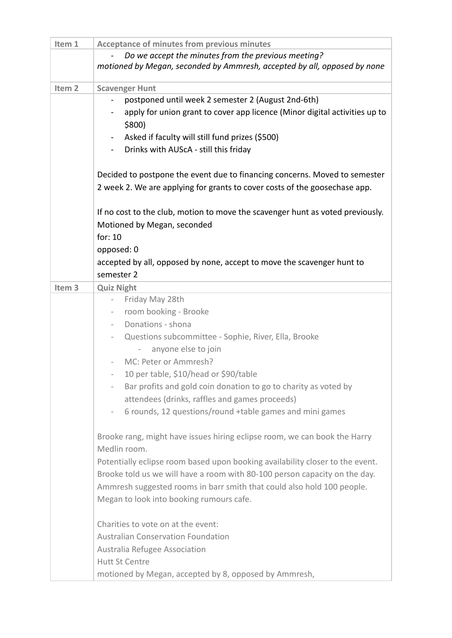| Item 1            | <b>Acceptance of minutes from previous minutes</b>                             |
|-------------------|--------------------------------------------------------------------------------|
|                   | Do we accept the minutes from the previous meeting?                            |
|                   | motioned by Megan, seconded by Ammresh, accepted by all, opposed by none       |
|                   |                                                                                |
| Item <sub>2</sub> | <b>Scavenger Hunt</b>                                                          |
|                   | postponed until week 2 semester 2 (August 2nd-6th)                             |
|                   | apply for union grant to cover app licence (Minor digital activities up to     |
|                   | $$800$ )                                                                       |
|                   | Asked if faculty will still fund prizes (\$500)                                |
|                   | Drinks with AUScA - still this friday<br>$\sim$                                |
|                   |                                                                                |
|                   | Decided to postpone the event due to financing concerns. Moved to semester     |
|                   | 2 week 2. We are applying for grants to cover costs of the goosechase app.     |
|                   |                                                                                |
|                   | If no cost to the club, motion to move the scavenger hunt as voted previously. |
|                   | Motioned by Megan, seconded                                                    |
|                   | for: 10                                                                        |
|                   | opposed: 0                                                                     |
|                   | accepted by all, opposed by none, accept to move the scavenger hunt to         |
|                   | semester 2                                                                     |
| Item <sub>3</sub> | <b>Quiz Night</b>                                                              |
|                   | Friday May 28th<br>$\overline{\phantom{a}}$                                    |
|                   | room booking - Brooke<br>$\overline{\phantom{a}}$                              |
|                   | Donations - shona<br>$\overline{\phantom{a}}$                                  |
|                   | Questions subcommittee - Sophie, River, Ella, Brooke<br>$\equiv$               |
|                   | anyone else to join<br>$\overline{\phantom{0}}$                                |
|                   | MC: Peter or Ammresh?                                                          |
|                   | 10 per table, \$10/head or \$90/table                                          |
|                   | Bar profits and gold coin donation to go to charity as voted by                |
|                   | attendees (drinks, raffles and games proceeds)                                 |
|                   | 6 rounds, 12 questions/round +table games and mini games                       |
|                   |                                                                                |
|                   | Brooke rang, might have issues hiring eclipse room, we can book the Harry      |
|                   | Medlin room.                                                                   |
|                   | Potentially eclipse room based upon booking availability closer to the event.  |
|                   | Brooke told us we will have a room with 80-100 person capacity on the day.     |
|                   | Ammresh suggested rooms in barr smith that could also hold 100 people.         |
|                   | Megan to look into booking rumours cafe.                                       |
|                   |                                                                                |
|                   | Charities to vote on at the event:                                             |
|                   |                                                                                |
|                   | <b>Australian Conservation Foundation</b>                                      |
|                   | Australia Refugee Association                                                  |
|                   | <b>Hutt St Centre</b>                                                          |
|                   | motioned by Megan, accepted by 8, opposed by Ammresh,                          |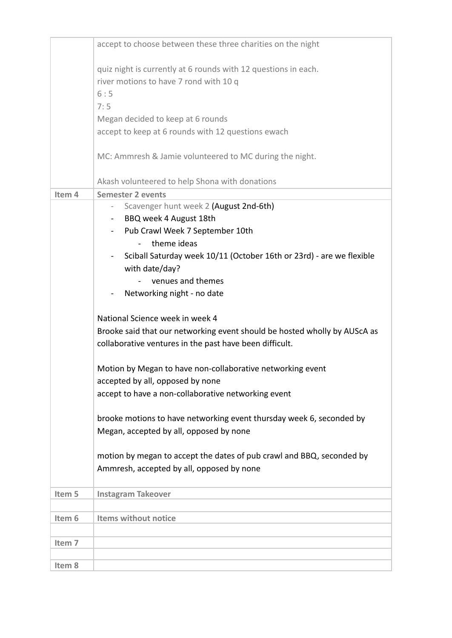|        | accept to choose between these three charities on the night                                                                                                             |
|--------|-------------------------------------------------------------------------------------------------------------------------------------------------------------------------|
|        | quiz night is currently at 6 rounds with 12 questions in each.<br>river motions to have 7 rond with 10 q<br>6:5                                                         |
|        | 7:5                                                                                                                                                                     |
|        | Megan decided to keep at 6 rounds                                                                                                                                       |
|        | accept to keep at 6 rounds with 12 questions ewach                                                                                                                      |
|        | MC: Ammresh & Jamie volunteered to MC during the night.                                                                                                                 |
|        | Akash volunteered to help Shona with donations                                                                                                                          |
| Item 4 | <b>Semester 2 events</b>                                                                                                                                                |
|        | Scavenger hunt week 2 (August 2nd-6th)                                                                                                                                  |
|        | - BBQ week 4 August 18th                                                                                                                                                |
|        | Pub Crawl Week 7 September 10th                                                                                                                                         |
|        | theme ideas                                                                                                                                                             |
|        | Sciball Saturday week 10/11 (October 16th or 23rd) - are we flexible                                                                                                    |
|        | with date/day?                                                                                                                                                          |
|        | venues and themes                                                                                                                                                       |
|        | Networking night - no date                                                                                                                                              |
|        | National Science week in week 4<br>Brooke said that our networking event should be hosted wholly by AUScA as<br>collaborative ventures in the past have been difficult. |
|        | Motion by Megan to have non-collaborative networking event                                                                                                              |
|        | accepted by all, opposed by none                                                                                                                                        |
|        | accept to have a non-collaborative networking event                                                                                                                     |
|        | brooke motions to have networking event thursday week 6, seconded by<br>Megan, accepted by all, opposed by none                                                         |
|        | motion by megan to accept the dates of pub crawl and BBQ, seconded by                                                                                                   |
|        | Ammresh, accepted by all, opposed by none                                                                                                                               |
| Item 5 | <b>Instagram Takeover</b>                                                                                                                                               |
|        |                                                                                                                                                                         |
| Item 6 | Items without notice                                                                                                                                                    |
| Item 7 |                                                                                                                                                                         |
|        |                                                                                                                                                                         |
| Item 8 |                                                                                                                                                                         |